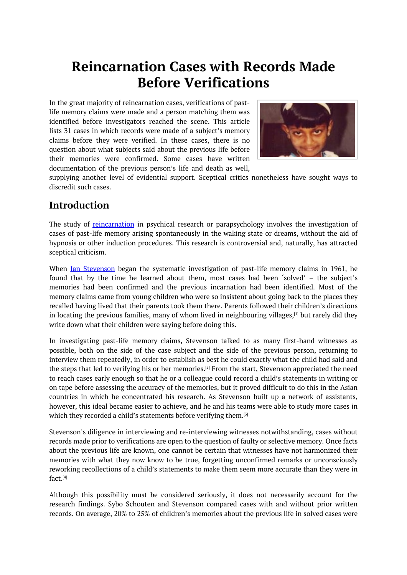# <span id="page-0-0"></span>**Reincarnation Cases with Records Made Before Verifications**

In the great majority of reincarnation cases, verifications of pastlife memory claims were made and a person matching them was identified before investigators reached the scene. This article lists 31 cases in which records were made of a subject's memory claims before they were verified. In these cases, there is no question about what subjects said about the previous life before their memories were confirmed. Some cases have written documentation of the previous person's life and death as well,



supplying another level of evidential support. Sceptical critics nonetheless have sought ways to discredit such cases.

# **Introduction**

The study of reincarnation in psychical research or parapsychology involves the investigation of cases of past-life memory arising spontaneously in the waking state or dreams, without the aid of hypnosis or other induction procedures. This research is controversial and, naturally, has attracted sceptical criticism.

When Ian Stevenson began the systematic investigation of past-life memory claims in 1961, he found that by the time he learned about them, most cases had been 'solved' – the subject's memories had been confirmed and the previous incarnation had been identified. Most of the memory claims came from young children who were so insistent about going back to the places they recalled having lived that their parents took them there. Parents followed their children's directions in locating the previous families, many of whom lived in neighbouring villages, [1] but rarely did they write down what their children were saying before doing this.

In investigating past-life memory claims, Stevenson talked to as many first-hand witnesses as possible, both on the side of the case subject and the side of the previous [pe](#page-0-0)rson, returning to interview them repeatedly, in order to establish as best he could exactly what the child had said and the steps that led to verifying his or her memories.<sup>[2]</sup> From the start, Stevenson appreciated the need to reach cases early enough so that he or a colleague could record a child's statements in writing or on tape before assessing the accuracy of the memories, but it proved difficult to do this in the Asian countries in which he concentrated his research. As Stevenson built up a network of assistants, however, this ideal became easier to achieve, and [he](#page-0-0) and his teams were able to study more cases in which they recorded a child's statements before verifying them. [3]

Stevenson's diligence in interviewing and re-interviewing witnesses notwithstanding, cases without records made prior to verifications are open to the question of faulty or selective memory. Once facts about the previous life are known, one cannot be certain that [wi](#page-0-0)tnesses have not harmonized their memories with what they now know to be true, forgetting unconfirmed remarks or unconsciously reworking recollections of a child's statements to make them seem more accurate than they were in fact. [4]

Although this possibility must be considered seriously, it does not necessarily account for the research findings. Sybo Schouten and Stevenson compared cases with and without prior written reco[rd](#page-0-0)s. On average, 20% to 25% of children's memories about the previous life in solved cases were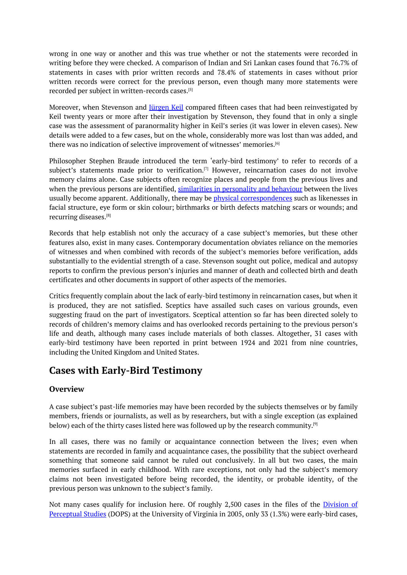wrong in one way or another and this was true whether or not the statements were recorded in writing before they were checked. A comparison of Indian and Sri Lankan cases found that 76.7% of statements in cases with prior written records and 78.4% of statements in cases without prior written records were correct for the previous person, even though many more statements were recorded per subject in written-records cases. [5]

Moreover, when Stevenson and Jürgen Keil compared fifteen cases that had been reinvestigated by Keil twenty years or more after their investigation by Stevenson, they found that in only a single case was the assessment of paranormality hi[gh](#page-0-0)er in Keil's series (it was lower in eleven cases). New details were added to a few cases, but on the whole, considerably more was lost than was added, and there was no indication of selective [improve](http://jamesgmatlock.com/resources/researchers/keil/)ment of witnesses' memories. [6]

Philosopher Stephen Braude introduced the term 'early-bird testimony' to refer to records of a subject's statements made prior to verification.<sup>[7]</sup> However, reincarnation cases do not involve memory claims alone. Case subjects often recognize places and people f[ro](#page-0-0)m the previous lives and when the previous persons are identified, similarities in personality and behaviour between the lives usually [be](#page-0-0)come apparent. Additionally, there may be *physical correspondences* such as likenesses in facial structure, eye form or skin colour; birthmarks or birth defects matching scars or wounds; and recurring diseases. [8]

Records that help establish not only the accuracy of a case subject's memories, but these other features also, exist in many cases. Contemporary documentation obviates reliance on the memories of witnesses and [wh](#page-0-0)en combined with records of the subject's memories before verification, adds substantially to the evidential strength of a case. Stevenson sought out police, medical and autopsy reports to confirm the previous person's injuries and manner of death and collected birth and death certificates and other documents in support of other aspects of the memories.

Critics frequently complain about the lack of early-bird testimony in reincarnation cases, but when it is produced, they are not satisfied. Sceptics have assailed such cases on various grounds, even suggesting fraud on the part of investigators. Sceptical attention so far has been directed solely to records of children's memory claims and has overlooked records pertaining to the previous person's life and death, although many cases include materials of both classes. Altogether, 31 cases with early-bird testimony have been reported in print between 1924 and 2021 from nine countries, including the United Kingdom and United States.

# **Cases with Early-Bird Testimony**

# **Overview**

A case subject's past-life memories may have been recorded by the subjects themselves or by family members, friends or journalists, as well as by researchers, but with a single exception (as explained below) each of the thirty cases listed here was followed up by the research community.<sup>[9]</sup>

In all cases, there was no family or acquaintance connection between the lives; even when statements are recorded in family and acquaintance cases, the possibility that the subject overheard something that someone said cannot be ruled out conclusively. In all but two c[ase](#page-0-0)s, the main memories surfaced in early childhood. With rare exceptions, not only had the subject's memory claims not been investigated before being recorded, the identity, or probable identity, of the previous person was unknown to the subject's family.

Not many cases qualify for inclusion here. Of roughly 2,500 cases in the files of the Division of Perceptual Studies (DOPS) at the University of Virginia in 2005, only 33 (1.3%) were early-bird cases,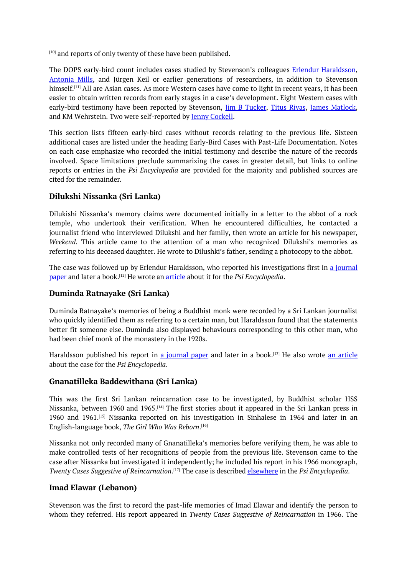[10] and reports of only twenty of these have been published.

The DOPS early-bird count includes cases studied by Stevenson's colleagues Erlendur Haraldsson, Antonia Mills, and Jürgen Keil or earlier generations of researchers, in addition to Stevenson [him](#page-0-0)self. [11] All are Asian cases. As more Western cases have come to light in recent years, it has been easier to obtain written records from early stages in a case's development. Eight Western cases with early-bird testimony have been reported by Stevenson, *Jim B Tucker*, Titus Rivas, *James Matlock*, and KM [W](#page-0-0)ehrstein. Two were self-reported by Jenny Cockell.

This section lists fifteen early-bird cases without records relating to the previous life. Sixteen additional cases are listed under the heading Early-Bird Cases with Past-Life Documentation. Notes on each case emphasize who recorded the initial testimony and describe the nature of the records involved. Space limitations preclude summarizing the cases in greater detail, but links to online reports or entries in the *Psi Encyclopedia* are provided for the majority and published sources are cited for the remainder.

# **Dilukshi Nissanka (Sri Lanka)**

Dilukishi Nissanka's memory claims were documented initially in a letter to the abbot of a rock temple, who undertook their verification. When he encountered difficulties, he contacted a journalist friend who interviewed Dilukshi and her family, then wrote an article for his newspaper, *Weekend*. This article came to the attention of a man who recognized Dilukshi's memories as referring to his deceased daughter. He wrote to Dilushki's father, sending a photocopy to the abbot.

The case was followed up by Erlendur Haraldsson, who reported his investigations first in a journal paper and later a book. [12] He wrote an article about it for the *Psi Encyclopedia*.

### **Duminda Ratnayake (Sri Lanka)**

Duminda [Ratnayake's](https://www.scientificexploration.org/docs/5/jse_05_2_haraldsson.pdf) [me](#page-0-0)mories of being a Buddhist monk were recorded by a Sri Lankan journalist who quickly identified them as referring to a certain man, but Haraldsson found that the statements better fit someone else. Duminda also displayed behaviours corresponding to this other man, who had been chief monk of the monastery in the 1920s.

Haraldsson published his report in <u>a journal paper</u> and later in a book.<sup>[13]</sup> He also wrote <u>an article</u> about the case for the *Psi Encyclopedia*.

### **Gnanatilleka Baddewithana (Sri [Lanka\)](https://notendur.hi.is/erlendur/english/cort/monks.pdf)**

This was the first Sri Lankan reincarnation case to be investigated, by Buddhist scholar HSS Nissanka, between 1960 and 1965.<sup>[14]</sup> The first stories about it appeared in the Sri Lankan press in 1960 and 1961. [15] Nissanka reported on his investigation in Sinhalese in 1964 and later in an English-language book, *The Girl Who Was Reborn*. [16]

Nissanka not only recorded many [of](#page-0-0) Gnanatilleka's memories before verifying them, he was able to make controlled [te](#page-0-0)sts of her recognitions of people from the previous life. Stevenson came to the case after Nissanka but investigated it independe[ntl](#page-0-0)y; he included his report in his 1966 monograph, *Twenty Cases Suggestive of Reincarnation*. [17] The case is described elsewhere in the *Psi Encyclopedia*.

### **Imad Elawar (Lebanon)**

Stevenson was the first to record the p[ast-](#page-0-0)life memories of Imad Elawar and identify the person to whom they referred. His report appeared in *Twenty Cases Suggestive of Reincarnation* in 1966. The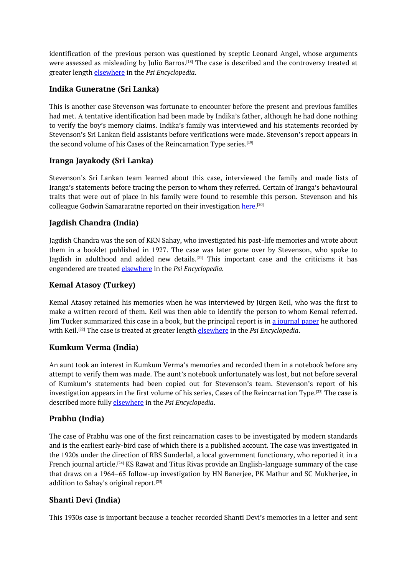identification of the previous person was questioned by sceptic Leonard Angel, whose arguments were assessed as misleading by Julio Barros. $^{\scriptscriptstyle [18]}$  The case is described and the controversy treated at greater length elsewhere in the *Psi Encyclopedia*.

# **Indika Guneratne (Sri Lanka)**

This is another case Stevenson was fortunate to encounter before the present and previous families had met. A tentative identification had been made by Indika's father, although he had done nothing to verify the boy's memory claims. Indika's family was interviewed and his statements recorded by Stevenson's Sri Lankan field assistants before verifications were made. Stevenson's report appears in the second volume of his Cases of the Reincarnation Type series. [19]

### **Iranga Jayakody (Sri Lanka)**

Stevenson's Sri Lankan team learned about this case, intervi[ew](#page-0-0)ed the family and made lists of Iranga's statements before tracing the person to whom they referred. Certain of Iranga's behavioural traits that were out of place in his family were found to resemble this person. Stevenson and his colleague Godwin Samararatne reported on their investigation <u>here</u>.<sup>[20]</sup>

### **Jagdish Chandra (India)**

Jagdish Chandra was the son of KKN Sahay, who investigated his [pa](https://www.scientificexploration.org/docs/2/jse_02_2_stevenson.pdf)[st-](#page-0-0)life memories and wrote about them in a booklet published in 1927. The case was later gone over by Stevenson, who spoke to Jagdish in adulthood and added new details. $^{[21]}$  This important case and the criticisms it has engendered are treated elsewhere in the *Psi Encyclopedia.*

### **Kemal Atasoy (Turkey)**

Kemal Atasoy retained his memories when he was interviewed by Jürgen Keil, who was the first to make a written record of them. Keil was then able to identify the person to whom Kemal referred. Jim Tucker summarized this case in a book, but the principal report is in a journal paper he authored with Keil. [22] The case is treated at greater length elsewhere in the *Psi Encyclopedia*.

### **Kumkum Verma (India)**

An aunt t[oo](#page-0-0)k an interest in Kumkum Verma's memories and recorded them in a notebook before any attempt to verify them was made. The aunt's notebook unfortunately was lost, but not before several of Kumkum's statements had been copied out for Stevenson's team. Stevenson's report of his investigation appears in the first volume of his series, Cases of the Reincarnation Type. [23] The case is described more fully elsewhere in the *Psi Encyclopedia.*

### **Prabhu (India)**

The case of Prabhu was one of the first reincarnation cases to be investigated by modern standards and is the earliest early-bird case of which there is a published account. The case was investigated in the 1920s under the direction of RBS Sunderlal, a local government functionary, who reported it in a French journal article.<sup>[24]</sup> KS Rawat and Titus Rivas provide an English-language summary of the case that draws on a 1964–65 follow-up investigation by HN Banerjee, PK Mathur and SC Mukherjee, in addition to Sahay's original report. [25]

### **Shanti Devi (India[\)](#page-0-0)**

This 1930s case is important beca[use](#page-0-0) a teacher recorded Shanti Devi's memories in a letter and sent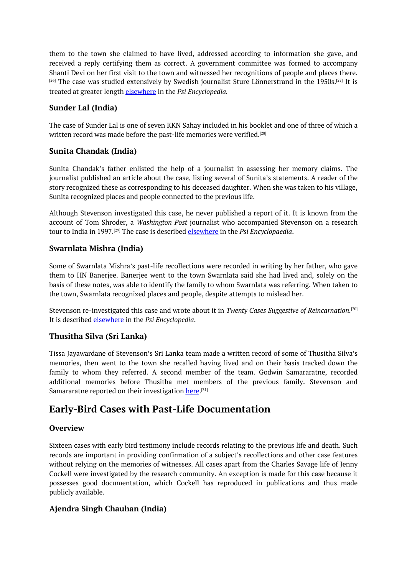them to the town she claimed to have lived, addressed according to information she gave, and received a reply certifying them as correct. A government committee was formed to accompany Shanti Devi on her first visit to the town and witnessed her recognitions of people and places there.  $^{[26]}$  The case was studied extensively by Swedish journalist Sture Lönnerstrand in the 1950s. $^{[27]}$  It is treated at greater length elsewhere in the *Psi Encyclopedia.*

# **[Su](#page-0-0)nder Lal (India)**

The case of Sunder Lal is one of seven KKN Sahay included in his booklet and one of three of which a written record was made before the past-life memories were verified. [28]

# **Sunita Chandak (India)**

Sunita Chandak's father enlisted the help of a journalist in asse[ssi](#page-0-0)ng her memory claims. The journalist published an article about the case, listing several of Sunita's statements. A reader of the story recognized these as corresponding to his deceased daughter. When she was taken to his village, Sunita recognized places and people connected to the previous life.

Although Stevenson investigated this case, he never published a report of it. It is known from the account of Tom Shroder, a *Washington Post* journalist who accompanied Stevenson on a research tour to India in 1997. [29] The case is described elsewhere in the *Psi Encyclopaedia*.

# **Swarnlata Mishra (India)**

Some of Swarnlata [Mish](#page-0-0)ra's past-life recollections were recorded in writing by her father, who gave them to HN Banerjee. Banerjee went to the town Swarnlata said she had lived and, solely on the basis of these notes, was able to identify the family to whom Swarnlata was referring. When taken to the town, Swarnlata recognized places and people, despite attempts to mislead her.

Stevenson re-investigated this case and wrote about it in *Twenty Cases Suggestive of Reincarnation.* [30] It is described elsewhere in the *Psi Encyclopedia*.

### **Thusitha Silva (Sri Lanka)**

Tissa Jayawardane of Stevenson's Sri Lanka team made a written record of some of Thusitha Silva's memories, then went to the town she recalled having lived and on their basis tracked down the family to whom they referred. A second member of the team. Godwin Samararatne, recorded additional memories before Thusitha met members of the previous family. Stevenson and Samararatne reported on their investigation <u>here</u>.<sup>[31]</sup>

# **Early-Bird Cases with Past-Life Documentation**

### **Overview**

Sixteen cases with early bird testimony include records relating to the previous life and death. Such records are important in providing confirmation of a subject's recollections and other case features without relying on the memories of witnesses. All cases apart from the Charles Savage life of Jenny Cockell were investigated by the research community. An exception is made for this case because it possesses good documentation, which Cockell has reproduced in publications and thus made publicly available.

### **Ajendra Singh Chauhan (India)**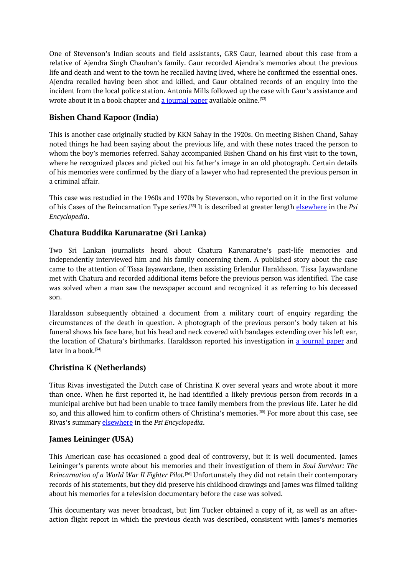One of Stevenson's Indian scouts and field assistants, GRS Gaur, learned about this case from a relative of Ajendra Singh Chauhan's family. Gaur recorded Ajendra's memories about the previous life and death and went to the town he recalled having lived, where he confirmed the essential ones. Ajendra recalled having been shot and killed, and Gaur obtained records of an enquiry into the incident from the local police station. Antonia Mills followed up the case with Gaur's assistance and wrote about it in a book chapter and <u>a journal paper</u> available online.<sup>[32]</sup>

# **Bishen Chand Kapoor (India)**

This is another case originally studied by KKN [Saha](https://www.scientificexploration.org/docs/18/jse_18_4_mills.pdf)y in the 1920s. [On](#page-0-0) meeting Bishen Chand, Sahay noted things he had been saying about the previous life, and with these notes traced the person to whom the boy's memories referred. Sahay accompanied Bishen Chand on his first visit to the town, where he recognized places and picked out his father's image in an old photograph. Certain details of his memories were confirmed by the diary of a lawyer who had represented the previous person in a criminal affair.

This case was restudied in the 1960s and 1970s by Stevenson, who reported on it in the first volume of his Cases of the Reincarnation Type series. [33] It is described at greater length elsewhere in the *Psi Encyclopedia*.

### **Chatura Buddika Karunaratne (Sri La[nk](#page-0-0)a)**

Two Sri Lankan journalists heard about Chatura Karunaratne's past-life memories and independently interviewed him and his family concerning them. A published story about the case came to the attention of Tissa Jayawardane, then assisting Erlendur Haraldsson. Tissa Jayawardane met with Chatura and recorded additional items before the previous person was identified. The case was solved when a man saw the newspaper account and recognized it as referring to his deceased son.

Haraldsson subsequently obtained a document from a military court of enquiry regarding the circumstances of the death in question. A photograph of the previous person's body taken at his funeral shows his face bare, but his head and neck covered with bandages extending over his left ear, the location of Chatura's birthmarks. Haraldsson reported his investigation in a journal paper and later in a book. [34]

### **Christina K (Netherlands)**

Titus Rivas in[ves](#page-0-0)tigated the Dutch case of Christina K over several years and wrote about it more than once. When he first reported it, he had identified a likely previous person from records in a municipal archive but had been unable to trace family members from the previous life. Later he did so, and this allowed him to confirm others of Christina's memories. [35] For more about this case, see Rivas's summary elsewhere in the *Psi Encyclopedia*.

#### **James Leininger (USA)**

This American case has occasioned a good deal of controversy, but it is well documented. James Leininger's parents wrote about his memories and their investigation of them in *Soul Survivor: The Reincarnation of a World War II Fighter Pilot.* [36] Unfortunately they did not retain their contemporary records of his statements, but they did preserve his childhood drawings and James was filmed talking about his memories for a television documentary before the case was solved.

This documentary was never broadcast, but [J](#page-0-0)im Tucker obtained a copy of it, as well as an afteraction flight report in which the previous death was described, consistent with James's memories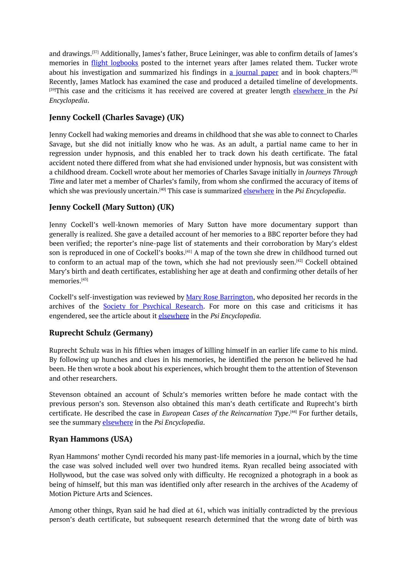and drawings. [37] Additionally, James's father, Bruce Leininger, was able to confirm details of James's memories in **flight logbooks** posted to the internet years after James related them. Tucker wrote about his investigation and summarized his findings in <u>a journal paper</u> and in book chapters.<sup>[38]</sup> Recently, Jam[es](#page-0-0) Matlock has examined the case and produced a detailed timeline of developments. [39]This case and the [criticism](http://natomabaycve62.org/logbook/pdfs/LogbookVC81.pdf)s it has received are covered at greater length **elsewhere** in the *Psi Encyclopedia*.

# **[Je](#page-0-0)nny Cockell (Charles Savage) (UK)**

Jenny Cockell had waking memories and dreams in childhood that she was able to connect to Charles Savage, but she did not initially know who he was. As an adult, a partial name came to her in regression under hypnosis, and this enabled her to track down his death certificate. The fatal accident noted there differed from what she had envisioned under hypnosis, but was consistent with a childhood dream. Cockell wrote about her memories of Charles Savage initially in *Journeys Through Time* and later met a member of Charles's family, from whom she confirmed the accuracy of items of which she was previously uncertain. [40] This case is summarized elsewhere in the *Psi Encyclopedia*.

# **Jenny Cockell (Mary Sutton) (UK)**

Jenny Cockell's well-known mem[ori](#page-0-0)es of Mary Sutton have more documentary support than generally is realized. She gave a detailed account of her memories to a BBC reporter before they had been verified; the reporter's nine-page list of statements and their corroboration by Mary's eldest son is reproduced in one of Cockell's books. [41] A map of the town she drew in childhood turned out to conform to an actual map of the town, which she had not previously seen.<sup>[42]</sup> Cockell obtained Mary's birth and death certificates, establishing her age at death and confirming other details of her memories. [43]

Cockell's self-investigation was reviewed by Mary Rose Barrington, who deposit[ed](#page-0-0) her records in the archives of the Society for Psychical Research. For more on this case and criticisms it has engendere[d,](#page-0-0) see the article about it elsewhere in the *Psi Encyclopedia*.

### **Ruprecht Schulz (Germany)**

Ruprecht Schulz was in his fifties when images of killing himself in an earlier life came to his mind. By following up hunches and clues in his memories, he identified the person he believed he had been. He then wrote a book about his experiences, which brought them to the attention of Stevenson and other researchers.

Stevenson obtained an account of Schulz's memories written before he made contact with the previous person's son. Stevenson also obtained this man's death certificate and Ruprecht's birth certificate. He described the case in *European Cases of the Reincarnation Type*. [44] For further details, see the summary elsewhere in the *Psi Encyclopedia*.

### **Ryan Hammons (USA)**

Ryan Hammons' mother Cyndi recorded his many past-life memories in a journal, which by the time the case was solved included well over two hundred items. Ryan recalled being associated with Hollywood, but the case was solved only with difficulty. He recognized a photograph in a book as being of himself, but this man was identified only after research in the archives of the Academy of Motion Picture Arts and Sciences.

Among other things, Ryan said he had died at 61, which was initially contradicted by the previous person's death certificate, but subsequent research determined that the wrong date of birth was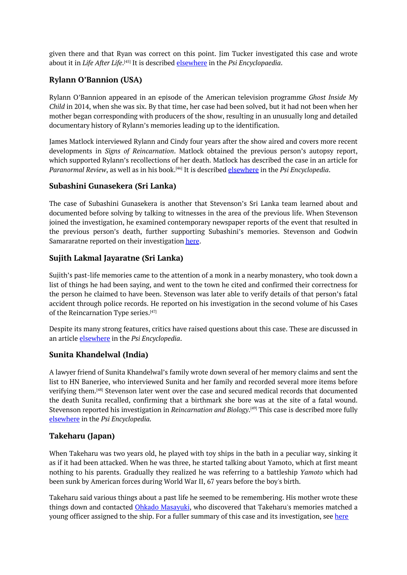given there and that Ryan was correct on this point. Jim Tucker investigated this case and wrote about it in *Life After Life*. [45] It is described elsewhere in the *Psi Encyclopaedia*.

# **Rylann O'Bannion (USA)**

Rylann O'Bannion appe[are](#page-0-0)d in an episode of the American television programme *Ghost Inside My Child* in 2014, when she was six. By that time, her case had been solved, but it had not been when her mother began corresponding with producers of the show, resulting in an unusually long and detailed documentary history of Rylann's memories leading up to the identification.

James Matlock interviewed Rylann and Cindy four years after the show aired and covers more recent developments in *Signs of Reincarnation*. Matlock obtained the previous person's autopsy report, which supported Rylann's recollections of her death. Matlock has described the case in an article for *Paranormal Review*, as well as in his book. [46] It is described elsewhere in the *Psi Encyclopedia*.

# **Subashini Gunasekera (Sri Lanka)**

The case of Subashini Gunasekera is an[oth](#page-0-0)er that Stevenson's Sri Lanka team learned about and documented before solving by talking to witnesses in the area of the previous life. When Stevenson joined the investigation, he examined contemporary newspaper reports of the event that resulted in the previous person's death, further supporting Subashini's memories. Stevenson and Godwin Samararatne reported on their investigation here.

# **Sujith Lakmal Jayaratne (Sri Lanka)**

Sujith's past-life memories came to the atte[ntion](https://www.scientificexploration.org/docs/2/jse_02_2_stevenson.pdf) of a monk in a nearby monastery, who took down a list of things he had been saying, and went to the town he cited and confirmed their correctness for the person he claimed to have been. Stevenson was later able to verify details of that person's fatal accident through police records. He reported on his investigation in the second volume of his Cases of the Reincarnation Type series. [47]

Despite its many strong features, critics have raised questions about this case. These are discussed in an article elsewhere in the *Psi En[cyc](#page-0-0)lopedia*.

# **Sunita Khandelwal (India)**

A lawyer friend of Sunita Khandelwal's family wrote down several of her memory claims and sent the list to HN Banerjee, who interviewed Sunita and her family and recorded several more items before verifying them. [48] Stevenson later went over the case and secured medical records that documented the death Sunita recalled, confirming that a birthmark she bore was at the site of a fatal wound. Stevenson reported his investigation in *Reincarnation and Biology*. [49] This case is described more fully elsewhere in th[e](#page-0-0) *Psi Encyclopedia.*

### **Takeharu (Japan)**

When Takeharu was two years old, he played with toy ships in the bath in a peculiar way, sinking it as if it had been attacked. When he was three, he started talking about Yamoto, which at first meant nothing to his parents. Gradually they realized he was referring to a battleship *Yamoto* which had been sunk by American forces during World War II, 67 years before the boy's birth.

Takeharu said various things about a past life he seemed to be remembering. His mother wrote these things down and contacted Ohkado Masayuki, who discovered that Takeharu's memories matched a young officer assigned to the ship. For a fuller summary of this case and its investigation, see here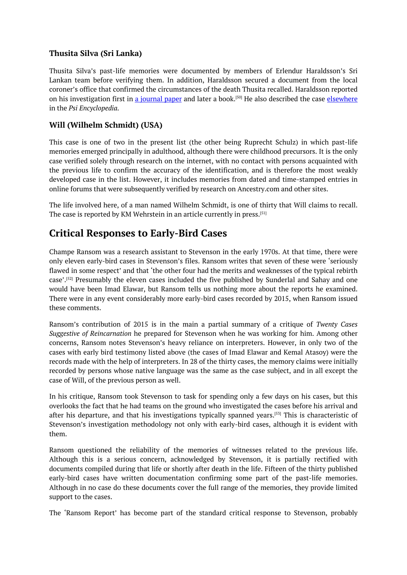# **Thusita Silva (Sri Lanka)**

Thusita Silva's past-life memories were documented by members of Erlendur Haraldsson's Sri Lankan team before verifying them. In addition, Haraldsson secured a document from the local coroner's office that confirmed the circumstances of the death Thusita recalled. Haraldsson reported on his investigation first in <u>a journal paper</u> and later a book.<sup>[50]</sup> He also described the case <u>elsewhere</u> in the *Psi Encyclopedia.*

# **Will (Wilhelm Schmidt) [\(USA\)](https://notendur.hi.is/erlendur/english/cort/Replication_Studies_of_Cases.pdf)**

This case is one of two in the present list (the other being Ruprecht Schulz) in which past-life memories emerged principally in adulthood, although there were childhood precursors. It is the only case verified solely through research on the internet, with no contact with persons acquainted with the previous life to confirm the accuracy of the identification, and is therefore the most weakly developed case in the list. However, it includes memories from dated and time-stamped entries in online forums that were subsequently verified by research on Ancestry.com and other sites.

The life involved here, of a man named Wilhelm Schmidt, is one of thirty that Will claims to recall. The case is reported by KM Wehrstein in an article currently in press.  $^{\left[ 51 \right]}$ 

# **Critical Responses to Early-Bird Cases**

Champe Ransom was a research assistant to Stevenson in the early [19](#page-0-0)70s. At that time, there were only eleven early-bird cases in Stevenson's files. Ransom writes that seven of these were 'seriously flawed in some respect' and that 'the other four had the merits and weaknesses of the typical rebirth case'. [52] Presumably the eleven cases included the five published by Sunderlal and Sahay and one would have been Imad Elawar, but Ransom tells us nothing more about the reports he examined. There were in any event considerably more early-bird cases recorded by 2015, when Ransom issued these [co](#page-0-0)mments.

Ransom's contribution of 2015 is in the main a partial summary of a critique of *Twenty Cases Suggestive of Reincarnation* he prepared for Stevenson when he was working for him. Among other concerns, Ransom notes Stevenson's heavy reliance on interpreters. However, in only two of the cases with early bird testimony listed above (the cases of Imad Elawar and Kemal Atasoy) were the records made with the help of interpreters. In 28 of the thirty cases, the memory claims were initially recorded by persons whose native language was the same as the case subject, and in all except the case of Will, of the previous person as well.

In his critique, Ransom took Stevenson to task for spending only a few days on his cases, but this overlooks the fact that he had teams on the ground who investigated the cases before his arrival and after his departure, and that his investigations typically spanned years. [53] This is characteristic of Stevenson's investigation methodology not only with early-bird cases, although it is evident with them.

Ransom questioned the reliability of the memories of witnesses rel[ate](#page-0-0)d to the previous life. Although this is a serious concern, acknowledged by Stevenson, it is partially rectified with documents compiled during that life or shortly after death in the life. Fifteen of the thirty published early-bird cases have written documentation confirming some part of the past-life memories. Although in no case do these documents cover the full range of the memories, they provide limited support to the cases.

The 'Ransom Report' has become part of the standard critical response to Stevenson, probably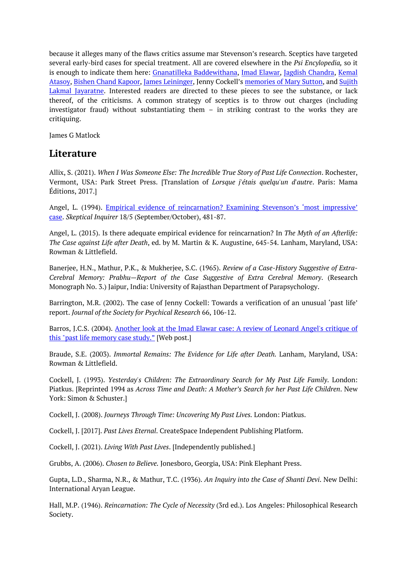because it alleges many of the flaws critics assume mar Stevenson's research. Sceptics have targeted several early-bird cases for special treatment. All are covered elsewhere in the *Psi Encylopedia,* so it is enough to indicate them here: Gnanatilleka Baddewithana, Imad Elawar, Jagdish Chandra, Kemal Atasoy, Bishen Chand Kapoor, James Leininger, Jenny Cockell's memories of Mary Sutton, and Sujith Lakmal Jayaratne. Interested readers are directed to these pieces to see the substance, or lack thereof, of the criticisms. A common strategy of sceptics is to throw out charges (including investigator fraud) without substantiating them – in striking contrast to the works they are critiquing.

James G Matlock

# **Literature**

Allix, S. (2021). *When I Was Someone Else: The Incredible True Story of Past Life Connection*. Rochester, Vermont, USA: Park Street Press. [Translation of *Lorsque j'étais quelqu'un d'autre*. Paris: Mama Éditions, 2017.]

Angel, L. (1994). Empirical evidence of reincarnation? Examining Stevenson's 'most impressive' case. *Skeptical Inquirer* 18/5 (September/October), 481-87.

Angel, L. (2015). Is there adequate empirical evidence for reincarnation? In *The Myth of an Afterlife: The Case against Life after Death*, ed. by M. Martin & K. [Augustine,](https://cdn.centerforinquiry.org/wp-content/uploads/sites/29/1994/09/22165115/p35.pdf) 645-54. Lanham, Maryland, USA: Rowman & Littlefield.

Banerjee, H.N., Mathur, P.K., & Mukherjee, S.C. (1965). *Review of a Case-History Suggestive of Extra-Cerebral Memory: Prabhu—Report of the Case Suggestive of Extra Cerebral Memory*. (Research Monograph No. 3.) Jaipur, India: University of Rajasthan Department of Parapsychology.

Barrington, M.R. (2002). The case of Jenny Cockell: Towards a verification of an unusual 'past life' report. *Journal of the Society for Psychical Research* 66, 106-12.

Barros, J.C.S. (2004). Another look at the Imad Elawar case: A review of Leonard Angel's critique of this "past life memory case study." [Web post.]

Braude, S.E. (2003). *Immortal Remains: The Evidence for Life after Death.* Lanham, Maryland, USA: Rowman & [Littlefield.](http://www.criticandokardec.com.br/imad_elawar_revisited.html)

Cockell, J. (1993). *Yesterday's Children: The Extraordinary Search for My Past Life Family*. London: Piatkus. [Reprinted 1994 as *Across Time and Death: A Mother's Search for her Past Life Children*. New York: Simon & Schuster.]

Cockell, J. (2008). *Journeys Through Time: Uncovering My Past Lives.* London: Piatkus.

Cockell, J. [2017]. *Past Lives Eternal*. CreateSpace Independent Publishing Platform.

Cockell, J. (2021). *Living With Past Lives*. [Independently published.]

Grubbs, A. (2006). *Chosen to Believe.* Jonesboro, Georgia, USA: Pink Elephant Press.

Gupta, L.D., Sharma, N.R., & Mathur, T.C. (1936). *An Inquiry into the Case of Shanti Devi*. New Delhi: International Aryan League.

Hall, M.P. (1946). *Reincarnation: The Cycle of Necessity* (3rd ed.). Los Angeles: Philosophical Research Society.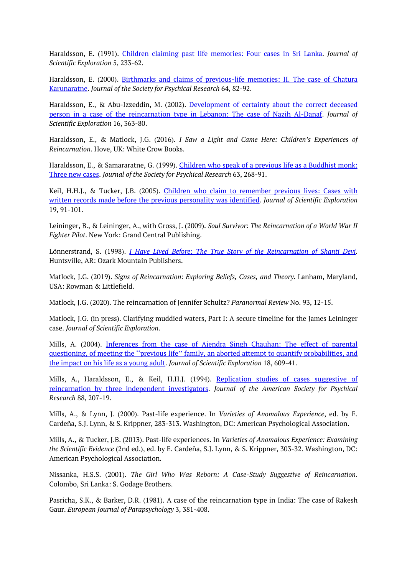Haraldsson, E. (1991). Children claiming past life memories: Four cases in Sri Lanka. *Journal of Scientific Exploration* 5, 233-62.

Haraldsson, E. (2000). Birthmarks and claims of previous-life memories: II. The case of Chatura Karunaratne. *Journal of the Society for [Psychical](https://www.scientificexploration.org/docs/5/jse_05_2_haraldsson.pdf) Research* 64, 82-92.

Haraldsson, E., & Abu-Izzeddin, M. (2002). Development of certainty about the correct deceased person in a case of the [reincarnation](https://notendur.hi.is/erlendur/english/cort/chatura.pdf) type in Lebanon: The case of Nazih Al-Danaf. *Journal of Scientific Exploration* 16, 363-80.

Haraldsson, E., & Matlock, J.G. (2016). *I Saw a Light and Came Here: Children's Experiences of [Reincarnation](https://notendur.hi.is/~erlendur/english/cort/nazih.pdf)*. Hove, UK: White Crow Books.

Haraldsson, E., & Samararatne, G. (1999). Children who speak of a previous life as a Buddhist monk: Three new cases. *Journal of the Society for Psychical Research* 63, 268-91.

Keil, H.H.J., & Tucker, J.B. (2005). Children who claim to remember previous lives: Cases with written records made before the previous [personality](https://notendur.hi.is/erlendur/english/cort/monks.pdf) was identified. *Journal of Scientific Exploration* 19, 91-101.

Leininger, B., & Leininger, A., with Gross, J. (2009). *Soul Survivor: The [Reincarnation](https://www.scientificexploration.org/docs/19/jse_19_1_keil.pdf) of a World War II Fighter Pilot*. New York: Grand Central Publishing.

Lönnerstrand, S. (1998). *I Have Lived Before: The True Story of the Reincarnation of Shanti Devi*. Huntsville, AR: Ozark Mountain Publishers.

Matlock, J.G. (2019). *Signs of Reincarnation: Exploring Beliefs, Cases, and Theory*. Lanham, Maryland, USA: Rowman & Littlefiel[d.](https://archive.org/details/ihavelivedbefore00stur/mode/2up)

Matlock, J.G. (2020). The reincarnation of Jennifer Schultz? *Paranormal Review* No. 93, 12-15.

Matlock, J.G. (in press). Clarifying muddied waters, Part I: A secure timeline for the James Leininger case. *Journal of Scientific Exploration*.

Mills, A. (2004). Inferences from the case of Ajendra Singh Chauhan: The effect of parental questioning, of meeting the ''previous life'' family, an aborted attempt to quantify probabilities, and the impact on his life as a young adult. *Journal of Scientific Exploration* 18, 609-41.

Mills, A., Haraldsson, E., & Keil, H.H.J. (1994). Replication studies of cases suggestive of reincarnation by three independent [investigators.](https://www.scientificexploration.org/docs/18/jse_18_4_mills.pdf) *Journal of the American Society for Psychical Research* 88, 207-19.

Mills, A., & Lynn, J. (2000). Past-life experience. In *Varieties of Anomalous Experience*, ed. by E. Cardeña, S.J. Lynn, & S. Krippner, 283-313. Washington, DC: American [Psychological](https://notendur.hi.is/erlendur/english/cort/Replication_Studies_of_Cases.pdf) Association.

Mills, A., & Tucker, J.B. (2013). Past-life experiences. In *Varieties of Anomalous Experience: Examining the Scientific Evidence* (2nd ed.), ed. by E. Cardeña, S.J. Lynn, & S. Krippner, 303-32. Washington, DC: American Psychological Association.

Nissanka, H.S.S. (2001). *The Girl Who Was Reborn: A Case-Study Suggestive of Reincarnation*. Colombo, Sri Lanka: S. Godage Brothers.

Pasricha, S.K., & Barker, D.R. (1981). A case of the reincarnation type in India: The case of Rakesh Gaur. *European Journal of Parapsychology* 3, 381-408.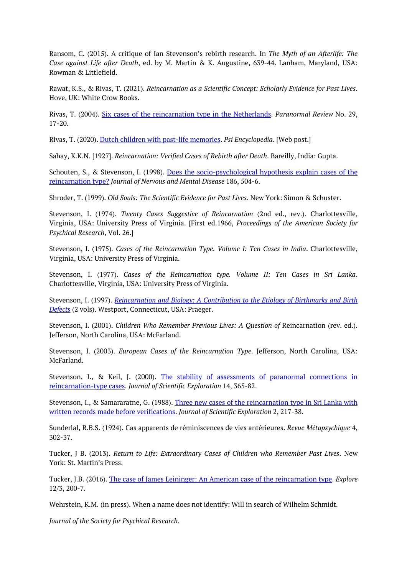Ransom, C. (2015). A critique of Ian Stevenson's rebirth research. In *The Myth of an Afterlife: The Case against Life after Death*, ed. by M. Martin & K. Augustine, 639-44. Lanham, Maryland, USA: Rowman & Littlefield.

Rawat, K.S., & Rivas, T. (2021). *Reincarnation as a Scientific Concept: Scholarly Evidence for Past Lives*. Hove, UK: White Crow Books.

Rivas, T. (2004). Six cases of the reincarnation type in the Netherlands. *Paranormal Review* No. 29, 17-20.

Rivas, T. (2020). Dutch children with past-life memories. *Psi [Encyclopedia](https://www.titusrivas.nl/public/articles/read/660)*. [Web post.]

Sahay, K.K.N. [1927]. *Reincarnation: Verified Cases of Rebirth after Death*. Bareilly, India: Gupta.

Schouten, S., & Stevenson, I. (1998). Does the socio-psychological hypothesis explain cases of the reincarnation type? *Journal of Nervous and Mental Disease* 186, 504-6.

Shroder, T. (1999). *Old Souls: The Scientific Evidence for Past Lives*. New York: Simon & Schuster.

Stevenson, I. (1974). *Twenty Cases Suggestive of Reincarnation* (2nd ed., rev.). [Charlottesville,](https://med.virginia.edu/perceptual-studies/wp-content/uploads/sites/360/2016/12/STE45.pdf) Virginia, USA: University Press of Virginia. [First ed.1966, *Proceedings of the American Society for Psychical Research*, Vol. 26.]

Stevenson, I. (1975)*. Cases of the Reincarnation Type. Volume I: Ten Cases in India*. Charlottesville, Virginia, USA: University Press of Virginia.

Stevenson, I. (1977). *Cases of the Reincarnation type. Volume II: Ten Cases in Sri Lanka*. Charlottesville, Virginia, USA: University Press of Virginia.

Stevenson, I. (1997). *Reincarnation and Biology: A Contribution to the Etiology of Birthmarks and Birth Defects* (2 vols). Westport, Connecticut, USA: Praeger.

Stevenson, I. (2001). *Children Who Remember Previous Lives: A Question of* Reincarnation (rev. ed.). Jefferson, North Carolina, USA: [McFarland.](https://archive.org/details/reincarnationandbiology01/mode/2up)

Stevenson, I. (2003). *European Cases of the Reincarnation Type*. Jefferson, North Carolina, USA: McFarland.

Stevenson, I., & Keil, J. (2000). The stability of assessments of paranormal connections in reincarnation-type cases. *Journal of Scientific Exploration* 14, 365-82.

Stevenson, I., & Samararatne, G. (1988). Three new cases of the reincarnation type in Sri Lanka with written [records](https://www.scientificexploration.org/docs/14/jse_14_3_stevenson.pdf) made before verifications. *Journal of Scientific [Exploration](https://www.scientificexploration.org/docs/14/jse_14_3_stevenson.pdf)* 2, 217-38.

Sunderlal, R.B.S. (1924). Cas apparents de réminiscences de vies antérieures. *Revue Métapsychique* 4, [302-37.](https://www.scientificexploration.org/docs/2/jse_02_2_stevenson.pdf)

Tucker, J B. (2013). *Return to Life: Extraordinary Cases of Children who Remember Past Lives*. New York: St. Martin's Press.

Tucker, J.B. (2016). The case of James Leininger: An American case of the reincarnation type. *Explore* 12/3, 200-7.

Wehrstein, K.M. (in press). When a name does not [identify:](https://med.virginia.edu/perceptual-studies/wp-content/uploads/sites/360/2017/04/REI42-Tucker-James-LeiningerPIIS1550830716000331.pdf) Will in search of Wilhelm Schmidt.

*Journal of the Society for Psychical Research.*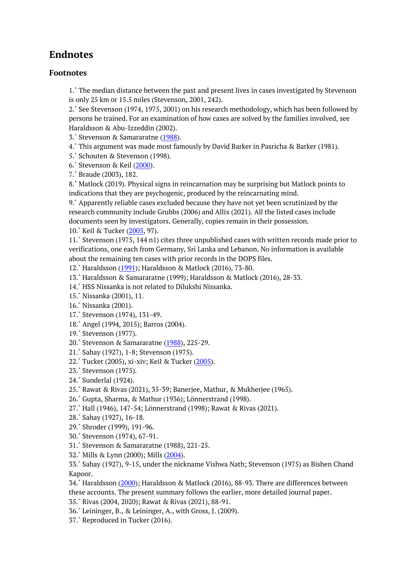# **Endnotes**

# **Footnotes**

1.ˆ The median distance between the past and present lives in cases investigated by Stevenson is only 25 km or 15.5 miles (Stevenson, 2001, 242).

2.ˆ See Stevenson (1974, 1975, 2001) on his research methodology, which has been followed by persons he trained. For an examination of how cases are solved by the families involved, see [Ha](#page-0-0)raldsson & Abu-Izzeddin (2002).

3.ˆ Stevenson & Samararatne (1988).

- [4.ˆ](#page-0-0) This argument was made most famously by David Barker in Pasricha & Barker (1981).
- 5.ˆ Schouten & Stevenson (1998).
- 6.ˆ Stevenson & Keil (2000).
- [7.ˆ](#page-0-0) Braude (2003), 182.

[8.ˆ](#page-0-0) Matlock (2019). Physical signs in reincarnation may be surprising but Matlock points to [ind](#page-0-0)ications that they are psychogenic, produced by the reincarnating mind.

[9.ˆ](#page-0-0) Apparently reliable [case](https://www.scientificexploration.org/docs/14/jse_14_3_stevenson.pdf)s excluded because they have not yet been scrutinized by the [res](#page-0-0)earch community include Grubbs (2006) and Allix (2021). All the listed cases include [doc](#page-0-0)uments seen by investigators. Generally, copies remain in their possession.

10.ˆ Keil & Tucker (2005, 97).

[11.](#page-0-0)ˆ Stevenson (1975, 144 n1) cites three unpublished cases with written records made prior to verifications, one each from Germany, Sri Lanka and Lebanon. No information is available about the remaining ten cases with prior records in the DOPS files.

[12.ˆ](#page-0-0) Haraldsson (19[91\);](https://www.scientificexploration.org/docs/19/jse_19_1_keil.pdf) Haraldsson & Matlock (2016), 73-80.

[13.ˆ](#page-0-0) Haraldsson & Samararatne (1999); Haraldsson & Matlock (2016), 28-33.

- 14.ˆ HSS Nissanka is not related to Dilukshi Nissanka.
- 15.ˆ Nissanka (2001), 11.
- [16.ˆ](#page-0-0) Nissanka (2[001\).](https://www.scientificexploration.org/docs/5/jse_05_2_haraldsson.pdf)
- [17.ˆ](#page-0-0) Stevenson (1974), 131-49.
- [18.ˆ](#page-0-0) Angel (1994, 2015); Barros (2004).
- [19.ˆ](#page-0-0) Stevenson (1977).
- [20.ˆ](#page-0-0) Stevenson & Samararatne (1988), 225-29.
- [21.ˆ](#page-0-0) Sahay (1927), 1-8; Stevenson (1975).
- [22.ˆ](#page-0-0) Tucker (2005), xi-xiv; Keil & Tucker (2005).
- [23.ˆ](#page-0-0) Stevenson (1975).
- [24.ˆ](#page-0-0) Sunderlal (1924).
- [25.ˆ](#page-0-0) Rawat & Rivas (2021), 35-39; Banerjee, Mathur, & Mukherjee (1965).
- [26.ˆ](#page-0-0) Gupta, Sharma, & Mathur (1936); Lö[nners](https://www.scientificexploration.org/docs/19/jse_19_1_keil.pdf)trand (1998).
- [27.ˆ](#page-0-0) Hall (1946), 147-54; Lönnerstrand (1998); Rawat & Rivas (2021).
- [28.ˆ](#page-0-0) Sahay (1927), 16-18.
- [29.ˆ](#page-0-0) Shroder (1999), 191-96.
- [30.ˆ](#page-0-0) Stevenson (1974), 67-91.
- [31.ˆ](#page-0-0) Stevenson & Samararatne (1988), 221-25.
- [32.ˆ](#page-0-0) Mills & Lynn (2000); Mills (2004).

[33.ˆ](#page-0-0) Sahay (1927), 9-15, under the nickname Vishwa Nath; Stevenson (1975) as Bishen Chand [Kap](#page-0-0)oor.

[34.ˆ](#page-0-0) Haraldsson (2000); Haraldsson & Matlock (2016), 88-93. There are differences between [thes](#page-0-0)e accounts. The present su[mmary](https://www.scientificexploration.org/docs/18/jse_18_4_mills.pdf) follows the earlier, more detailed journal paper.

- [35.ˆ](#page-0-0) Rivas (2004, 2020); Rawat & Rivas (2021), 88-91.
- 36.ˆ Leininger, B., & Leininger, A., with Gross, J. (2009).
- [37.ˆ](#page-0-0) Reproduced in [Tu](https://notendur.hi.is/erlendur/english/cort/chatura.pdf)cker (2016).